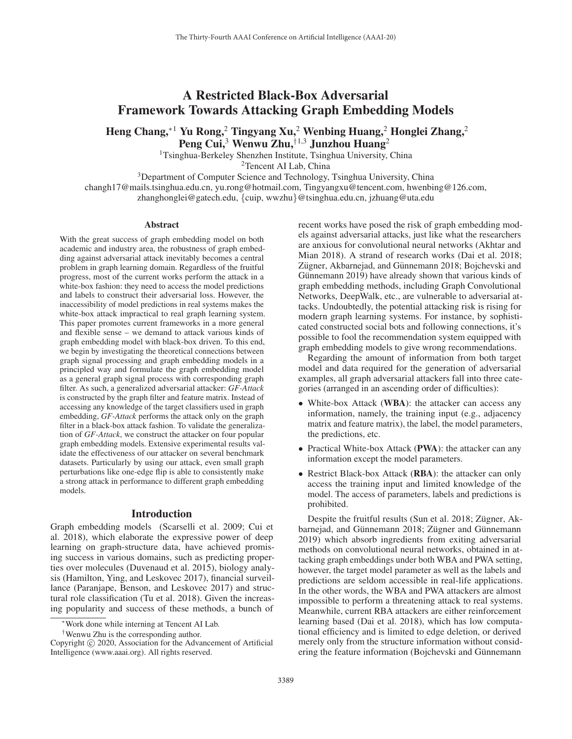# A Restricted Black-Box Adversarial Framework Towards Attacking Graph Embedding Models

Heng Chang,<sup>∗1</sup> Yu Rong,<sup>2</sup> Tingyang Xu,<sup>2</sup> Wenbing Huang,<sup>2</sup> Honglei Zhang,<sup>2</sup> Peng Cui,<sup>3</sup> Wenwu Zhu,<sup>†1,3</sup> Junzhou Huang<sup>2</sup>

<sup>1</sup>Tsinghua-Berkeley Shenzhen Institute, Tsinghua University, China

2Tencent AI Lab, China

<sup>3</sup>Department of Computer Science and Technology, Tsinghua University, China

changh17@mails.tsinghua.edu.cn, yu.rong@hotmail.com, Tingyangxu@tencent.com, hwenbing@126.com,

zhanghonglei@gatech.edu, {cuip, wwzhu}@tsinghua.edu.cn, jzhuang@uta.edu

### **Abstract**

With the great success of graph embedding model on both academic and industry area, the robustness of graph embedding against adversarial attack inevitably becomes a central problem in graph learning domain. Regardless of the fruitful progress, most of the current works perform the attack in a white-box fashion: they need to access the model predictions and labels to construct their adversarial loss. However, the inaccessibility of model predictions in real systems makes the white-box attack impractical to real graph learning system. This paper promotes current frameworks in a more general and flexible sense – we demand to attack various kinds of graph embedding model with black-box driven. To this end, we begin by investigating the theoretical connections between graph signal processing and graph embedding models in a principled way and formulate the graph embedding model as a general graph signal process with corresponding graph filter. As such, a generalized adversarial attacker: *GF-Attack* is constructed by the graph filter and feature matrix. Instead of accessing any knowledge of the target classifiers used in graph embedding, *GF-Attack* performs the attack only on the graph filter in a black-box attack fashion. To validate the generalization of *GF-Attack*, we construct the attacker on four popular graph embedding models. Extensive experimental results validate the effectiveness of our attacker on several benchmark datasets. Particularly by using our attack, even small graph perturbations like one-edge flip is able to consistently make a strong attack in performance to different graph embedding models.

### Introduction

Graph embedding models (Scarselli et al. 2009; Cui et al. 2018), which elaborate the expressive power of deep learning on graph-structure data, have achieved promising success in various domains, such as predicting properties over molecules (Duvenaud et al. 2015), biology analysis (Hamilton, Ying, and Leskovec 2017), financial surveillance (Paranjape, Benson, and Leskovec 2017) and structural role classification (Tu et al. 2018). Given the increasing popularity and success of these methods, a bunch of

recent works have posed the risk of graph embedding models against adversarial attacks, just like what the researchers are anxious for convolutional neural networks (Akhtar and Mian 2018). A strand of research works (Dai et al. 2018; Zügner, Akbarnejad, and Günnemann 2018; Bojchevski and Günnemann 2019) have already shown that various kinds of graph embedding methods, including Graph Convolutional Networks, DeepWalk, etc., are vulnerable to adversarial attacks. Undoubtedly, the potential attacking risk is rising for modern graph learning systems. For instance, by sophisticated constructed social bots and following connections, it's possible to fool the recommendation system equipped with graph embedding models to give wrong recommendations.

Regarding the amount of information from both target model and data required for the generation of adversarial examples, all graph adversarial attackers fall into three categories (arranged in an ascending order of difficulties):

- White-box Attack (WBA): the attacker can access any information, namely, the training input (e.g., adjacency matrix and feature matrix), the label, the model parameters, the predictions, etc.
- Practical White-box Attack (PWA): the attacker can any information except the model parameters.
- Restrict Black-box Attack (RBA): the attacker can only access the training input and limited knowledge of the model. The access of parameters, labels and predictions is prohibited.

Despite the fruitful results (Sun et al. 2018; Zügner, Akbarnejad, and Günnemann 2018; Zügner and Günnemann 2019) which absorb ingredients from exiting adversarial methods on convolutional neural networks, obtained in attacking graph embeddings under both WBA and PWA setting, however, the target model parameter as well as the labels and predictions are seldom accessible in real-life applications. In the other words, the WBA and PWA attackers are almost impossible to perform a threatening attack to real systems. Meanwhile, current RBA attackers are either reinforcement learning based (Dai et al. 2018), which has low computational efficiency and is limited to edge deletion, or derived merely only from the structure information without considering the feature information (Bojchevski and Günnemann

<sup>∗</sup>Work done while interning at Tencent AI Lab.

<sup>†</sup>Wenwu Zhu is the corresponding author.

Copyright  $\odot$  2020, Association for the Advancement of Artificial Intelligence (www.aaai.org). All rights reserved.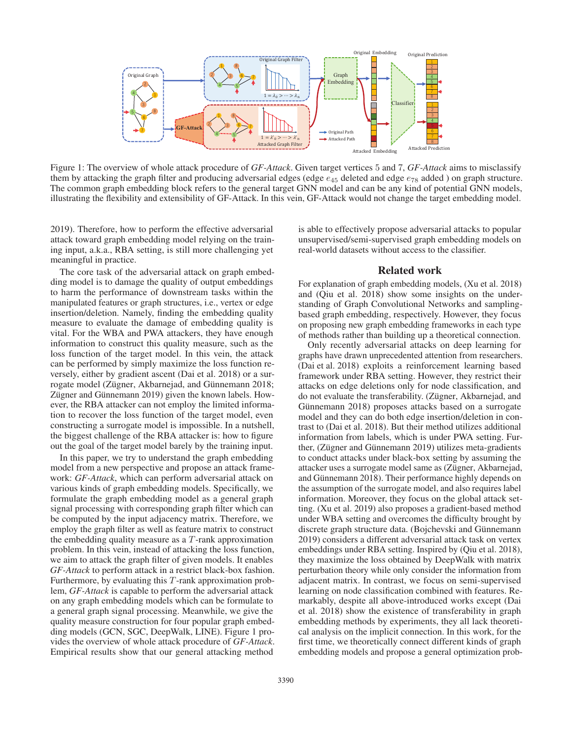

Figure 1: The overview of whole attack procedure of *GF-Attack*. Given target vertices 5 and 7, *GF-Attack* aims to misclassify them by attacking the graph filter and producing adversarial edges (edge  $e_{45}$  deleted and edge  $e_{78}$  added ) on graph structure. The common graph embedding block refers to the general target GNN model and can be any kind of potential GNN models, illustrating the flexibility and extensibility of GF-Attack. In this vein, GF-Attack would not change the target embedding model.

2019). Therefore, how to perform the effective adversarial attack toward graph embedding model relying on the training input, a.k.a., RBA setting, is still more challenging yet meaningful in practice.

is able to effectively propose adversarial attacks to popular unsupervised/semi-supervised graph embedding models on real-world datasets without access to the classifier.

## Related work

For explanation of graph embedding models, (Xu et al. 2018) and (Qiu et al. 2018) show some insights on the understanding of Graph Convolutional Networks and samplingbased graph embedding, respectively. However, they focus on proposing new graph embedding frameworks in each type of methods rather than building up a theoretical connection.

Only recently adversarial attacks on deep learning for graphs have drawn unprecedented attention from researchers. (Dai et al. 2018) exploits a reinforcement learning based framework under RBA setting. However, they restrict their attacks on edge deletions only for node classification, and do not evaluate the transferability. (Zügner, Akbarnejad, and Günnemann 2018) proposes attacks based on a surrogate model and they can do both edge insertion/deletion in contrast to (Dai et al. 2018). But their method utilizes additional information from labels, which is under PWA setting. Further, (Zügner and Günnemann 2019) utilizes meta-gradients to conduct attacks under black-box setting by assuming the attacker uses a surrogate model same as (Zügner, Akbarnejad, and Günnemann 2018). Their performance highly depends on the assumption of the surrogate model, and also requires label information. Moreover, they focus on the global attack setting. (Xu et al. 2019) also proposes a gradient-based method under WBA setting and overcomes the difficulty brought by discrete graph structure data. (Bojchevski and Günnemann 2019) considers a different adversarial attack task on vertex embeddings under RBA setting. Inspired by (Qiu et al. 2018), they maximize the loss obtained by DeepWalk with matrix perturbation theory while only consider the information from adjacent matrix. In contrast, we focus on semi-supervised learning on node classification combined with features. Remarkably, despite all above-introduced works except (Dai et al. 2018) show the existence of transferability in graph embedding methods by experiments, they all lack theoretical analysis on the implicit connection. In this work, for the first time, we theoretically connect different kinds of graph embedding models and propose a general optimization prob-

The core task of the adversarial attack on graph embedding model is to damage the quality of output embeddings to harm the performance of downstream tasks within the manipulated features or graph structures, i.e., vertex or edge insertion/deletion. Namely, finding the embedding quality measure to evaluate the damage of embedding quality is vital. For the WBA and PWA attackers, they have enough information to construct this quality measure, such as the loss function of the target model. In this vein, the attack can be performed by simply maximize the loss function reversely, either by gradient ascent (Dai et al. 2018) or a surrogate model (Zügner, Akbarnejad, and Günnemann 2018; Zügner and Günnemann 2019) given the known labels. However, the RBA attacker can not employ the limited information to recover the loss function of the target model, even constructing a surrogate model is impossible. In a nutshell, the biggest challenge of the RBA attacker is: how to figure out the goal of the target model barely by the training input.

In this paper, we try to understand the graph embedding model from a new perspective and propose an attack framework: *GF-Attack*, which can perform adversarial attack on various kinds of graph embedding models. Specifically, we formulate the graph embedding model as a general graph signal processing with corresponding graph filter which can be computed by the input adjacency matrix. Therefore, we employ the graph filter as well as feature matrix to construct the embedding quality measure as a T-rank approximation problem. In this vein, instead of attacking the loss function, we aim to attack the graph filter of given models. It enables *GF-Attack* to perform attack in a restrict black-box fashion. Furthermore, by evaluating this T-rank approximation problem, *GF-Attack* is capable to perform the adversarial attack on any graph embedding models which can be formulate to a general graph signal processing. Meanwhile, we give the quality measure construction for four popular graph embedding models (GCN, SGC, DeepWalk, LINE). Figure 1 provides the overview of whole attack procedure of *GF-Attack*. Empirical results show that our general attacking method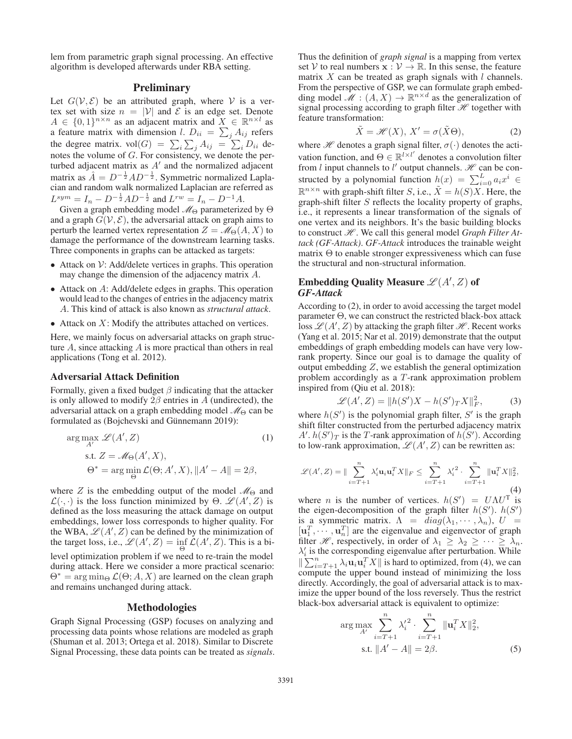lem from parametric graph signal processing. An effective algorithm is developed afterwards under RBA setting.

## **Preliminary**

Let  $G(V, \mathcal{E})$  be an attributed graph, where V is a vertex set with size  $n = |\mathcal{V}|$  and  $\mathcal{E}$  is an edge set. Denote  $A \in \{0,1\}^{n \times n}$  as an adjacent matrix and  $X \in \mathbb{R}^{n \times l}$  as a feature matrix with dimension l.  $D_{ii} = \sum_j A_{ij}$  refers the degree matrix.  $vol(G) = \sum_i \sum_j A_{ij} = \sum_i D_{ii}$  denote the volume of G. For consistency, we denote the pernotes the volume of G. For consistency, we denote the perturbed adjacent matrix as  $A'$  and the normalized adjacent matrix as  $\hat{A} = D^{-\frac{1}{2}}AD^{-\frac{1}{2}}$ . Symmetric normalized Lapla-<br>cian and random walk normalized Laplacian are referred as cian and random walk normalized Laplacian are referred as  $L^{sym} = I_n - D^{-\frac{1}{2}}AD^{-\frac{1}{2}}$  and  $L^{rw} = I_n - D^{-1}A$ .<br>Given a graph embedding model  $\mathcal{M}_{\Omega}$  parameterize

Given a graph embedding model  $\mathcal{M}_{\Theta}$  parameterized by  $\Theta$ and a graph  $G(V, \mathcal{E})$ , the adversarial attack on graph aims to perturb the learned vertex representation  $Z = \mathcal{M}_{\Theta}(A, X)$  to damage the performance of the downstream learning tasks. Three components in graphs can be attacked as targets:

- Attack on  $\mathcal V$ : Add/delete vertices in graphs. This operation may change the dimension of the adjacency matrix A.
- Attack on A: Add/delete edges in graphs. This operation would lead to the changes of entries in the adjacency matrix A. This kind of attack is also known as *structural attack*.
- Attack on  $X$ : Modify the attributes attached on vertices.

Here, we mainly focus on adversarial attacks on graph structure A, since attacking A is more practical than others in real applications (Tong et al. 2012).

## Adversarial Attack Definition

Formally, given a fixed budget  $\beta$  indicating that the attacker is only allowed to modify  $2\beta$  entries in A (undirected), the adversarial attack on a graph embedding model  $\mathcal{M}_{\Theta}$  can be formulated as (Bojchevski and Günnemann 2019):

$$
\arg \max_{A'} \mathcal{L}(A', Z)
$$
\n
$$
\text{s.t. } Z = \mathcal{M}_{\Theta}(A', X),
$$
\n
$$
\Theta^* = \arg \min_{\Theta} \mathcal{L}(\Theta; A', X), \|A' - A\| = 2\beta,
$$
\n(1)

where Z is the embedding output of the model  $\mathcal{M}_{\Theta}$  and  $\mathcal{L}(\cdot, \cdot)$  is the loss function minimized by  $\Theta$ .  $\mathcal{L}(A', Z)$  is defined as the loss measuring the attack damage on output defined as the loss measuring the attack damage on output embeddings, lower loss corresponds to higher quality. For the WBA,  $\mathcal{L}(A', Z)$  can be defined by the minimization of<br>the target loss i.e.  $\mathcal{L}(A', Z) = \inf \mathcal{L}(A', Z)$ . This is a bithe target loss, i.e.,  $\mathscr{L}(A', Z) = \inf_{\Theta} \mathcal{L}(A', Z)$ . This is a bilevel optimization problem if we need to re-train the model during attack. Here we consider a more practical scenario:  $\Theta^* = \arg \min_{\Theta} \mathcal{L}(\Theta; A, X)$  are learned on the clean graph and remains unchanged during attack.

#### Methodologies

Graph Signal Processing (GSP) focuses on analyzing and processing data points whose relations are modeled as graph (Shuman et al. 2013; Ortega et al. 2018). Similar to Discrete Signal Processing, these data points can be treated as *signals*. Thus the definition of *graph signal* is a mapping from vertex set V to real numbers  $\mathbf{x}: V \to \mathbb{R}$ . In this sense, the feature matrix  $X$  can be treated as graph signals with  $l$  channels. From the perspective of GSP, we can formulate graph embedding model  $\mathcal{M} : (A, X) \to \mathbb{R}^{n \times d}$  as the generalization of signal processing according to graph filter  $\mathcal H$  together with feature transformation:

$$
\tilde{X} = \mathcal{H}(X), X' = \sigma(\tilde{X}\Theta),
$$
\n(2)

where *H* denotes a graph signal filter,  $\sigma(\cdot)$  denotes the acti-<br>vation function and  $\Theta \subset \mathbb{R}^{l \times l'}$  denotes a convolution filter vation function, and  $\Theta \in \mathbb{R}^{l \times l'}$  denotes a convolution filter from l input channels to l' output channels. H can be con-- denotes a convolution filter structed by a polynomial function  $h(x) = \sum_{i=0}^{L} a_i x^i \in$  $\mathbb{R}^{n \times n}$  with graph-shift filter S, i.e.,  $\tilde{X} = h(S)X$ . Here, the praph-shift filter S reflects the locality property of graphs graph-shift filter  $S$  reflects the locality property of graphs, i.e., it represents a linear transformation of the signals of one vertex and its neighbors. It's the basic building blocks to construct  $H$ . We call this general model *Graph Filter Attack (GF-Attack)*. *GF-Attack* introduces the trainable weight matrix  $\Theta$  to enable stronger expressiveness which can fuse the structural and non-structural information.

## Embedding Quality Measure  $\mathscr{L}(A',Z)$  of<br>GF-Attack *GF-Attack*

According to (2), in order to avoid accessing the target model parameter Θ, we can construct the restricted black-box attack loss  $\mathcal{L}(A', Z)$  by attacking the graph filter  $\mathcal{H}$ . Recent works<br>(Yang et al. 2015: Nar et al. 2019) demonstrate that the output (Yang et al. 2015; Nar et al. 2019) demonstrate that the output embeddings of graph embedding models can have very lowrank property. Since our goal is to damage the quality of output embedding Z, we establish the general optimization problem accordingly as a T-rank approximation problem inspired from (Qiu et al. 2018):

$$
\mathcal{L}(A', Z) = ||h(S')X - h(S')_T X||_F^2, \tag{3}
$$

where  $h(S')$  is the polynomial graph filter, S' is the graph<br>shift filter constructed from the perturbed adiacency matrix shift filter constructed from the perturbed adjacency matrix  $A'. h(S')_T$  is the T-rank approximation of  $h(S')$ . According<br>to low-rank approximation  $\mathcal{L}(A' \mid Z)$  can be rewritten as: to low-rank approximation,  $\mathscr{L}(A', Z)$  can be rewritten as:

$$
\mathcal{L}(A', Z) = \|\sum_{i=T+1}^{n} \lambda_i' \mathbf{u}_i \mathbf{u}_i^T X\|_F \le \sum_{i=T+1}^{n} \lambda_i'^2 \cdot \sum_{i=T+1}^{n} \|\mathbf{u}_i^T X\|_2^2,
$$
\n(4)

where *n* is the number of vertices.  $h(S') = U\Lambda U^{T}$  is<br>the eigen-decomposition of the graph filter  $h(S') - h(S')$ the eigen-decomposition of the graph filter  $h(S')$ .  $h(S')$ <br>is a symmetric matrix  $\Lambda = diag(\lambda_1, ..., \lambda_n)$   $U =$ is a symmetric matrix.  $\Lambda = diag(\lambda_1, \dots, \lambda_n)$ ,  $U = [\mathbf{u}_1^T \dots \mathbf{u}_n^T]$  are the eigenvalue and eigenvector of graph  $[\mathbf{u}_1^T, \cdots, \mathbf{u}_n^T]$  are the eigenvalue and eigenvector of graph filter  $\mathcal{H}$  respectively in order of  $\lambda_1 > \lambda_2 > \cdots > \lambda_n$ filter  $\mathcal{H}$ , respectively, in order of  $\lambda_1 \geq \lambda_2 \geq \cdots \geq \lambda_n$ .  $\lambda_i$  is the corresponding eigenvalue after perturbation. While  $\|\sum_{i=T+1}^{n} \lambda_i \mathbf{u}_i \mathbf{u}_i^T X\|$  is hard to optimized, from (4), we can compute the upper bound instead of minimizing the loss directly. Accordingly, the goal of adversarial attack is to maximize the upper bound of the loss reversely. Thus the restrict black-box adversarial attack is equivalent to optimize:

$$
\arg \max_{A'} \sum_{i=T+1}^{n} {\lambda'_i}^2 \cdot \sum_{i=T+1}^{n} {\| \mathbf{u}_i^T X \|_2^2},
$$
  
s.t.  $||A' - A|| = 2\beta$ . (5)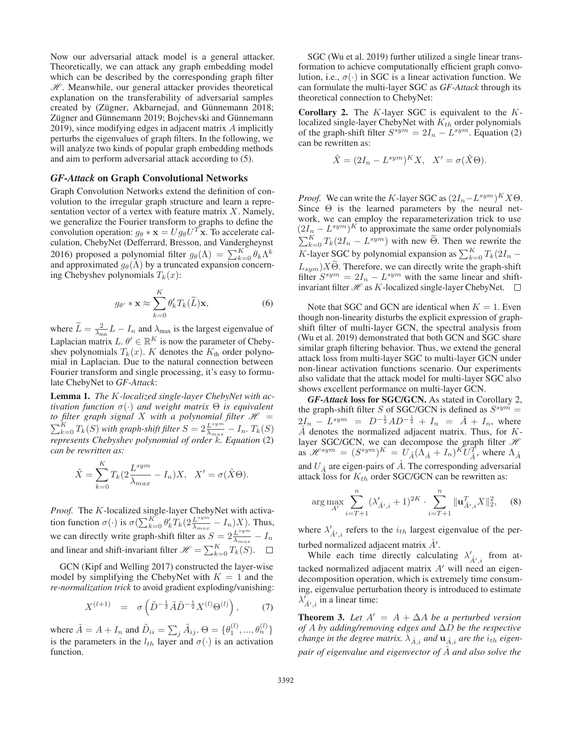Now our adversarial attack model is a general attacker. Theoretically, we can attack any graph embedding model which can be described by the corresponding graph filter  $H$ . Meanwhile, our general attacker provides theoretical explanation on the transferability of adversarial samples created by (Zügner, Akbarnejad, and Günnemann 2018; Zügner and Günnemann 2019; Bojchevski and Günnemann 2019), since modifying edges in adjacent matrix A implicitly perturbs the eigenvalues of graph filters. In the following, we will analyze two kinds of popular graph embedding methods and aim to perform adversarial attack according to (5).

### *GF-Attack* on Graph Convolutional Networks

Graph Convolution Networks extend the definition of convolution to the irregular graph structure and learn a representation vector of a vertex with feature matrix  $X$ . Namely, we generalize the Fourier transform to graphs to define the convolution operation:  $g_{\theta} * \mathbf{x} = U g_{\theta} U^T \mathbf{x}$ . To accelerate calculation, ChebyNet (Defferrard, Bresson, and Vandergheynst 2016) proposed a polynomial filter  $g_{\theta}(\Lambda) = \sum_{k=0}^{K} \theta_k \Lambda^k$ <br>and approximated  $g_{\theta}(\Lambda)$  by a truncated expansion concernand approximated  $g_{\theta}(\Lambda)$  by a truncated expansion concern-<br>ing Chebyshev polynomials  $T_k(x)$ . ing Chebyshev polynomials  $T_k(x)$ :

$$
g_{\theta'} * \mathbf{x} \approx \sum_{k=0}^{K} \theta'_k T_k(\widetilde{L}) \mathbf{x},
$$
 (6)

where  $\tilde{L} = \frac{2}{\lambda_{\text{max}}} L - I_n$  and  $\lambda_{\text{max}}$  is the largest eigenvalue of  $\Omega_{\text{other}}$ Laplacian matrix  $L, \theta' \in \mathbb{R}^K$  is now the parameter of Chebyshev polynomials  $T_k(x)$ . K denotes the  $K_{th}$  order polynomial in Laplacian. Due to the natural connection between Fourier transform and single processing, it's easy to formulate ChebyNet to *GF-Attack*:

Lemma 1. *The* K*-localized single-layer ChebyNet with activation function* <sup>σ</sup>(·) *and weight matrix* Θ *is equivalent to filter graph signal X with a polynomial filter*  $\mathcal{H} = \sum_{k=0}^{K} T_k(S)$  *with graph-shift filter*  $S = 2 \frac{L^{sym}}{\lambda_{max}} - I_n$ .  $T_k(S)$  *represents Chebyshev polynomial of order k*. *Equation* (2) *can be rewritten as:*

$$
\tilde{X} = \sum_{k=0}^{K} T_k (2 \frac{L^{sym}}{\lambda_{max}} - I_n) X, \quad X' = \sigma(\tilde{X}\Theta).
$$

*Proof.* The K-localized single-layer ChebyNet with activation function  $\sigma(\cdot)$  is  $\sigma(\sum_{k=0}^{K} \theta'_{k} T_{k}(2 \frac{L^{sym}}{\lambda_{max}} - I_{n})X)$ . Thus, we can directly write graph-shift filter as  $S = 2\frac{L^{sym}}{\lambda_{max}} - I_n$ and linear and shift-invariant filter  $\mathcal{H} = \sum_{k=0}^{K} T_k(S)$ .  $\Box$ 

GCN (Kipf and Welling 2017) constructed the layer-wise model by simplifying the ChebyNet with  $K = 1$  and the *re-normalization trick* to avoid gradient exploding/vanishing:

$$
X^{(l+1)} = \sigma\left(\tilde{D}^{-\frac{1}{2}}\tilde{A}\tilde{D}^{-\frac{1}{2}}X^{(l)}\Theta^{(l)}\right), \tag{7}
$$

where  $\tilde{A} = A + I_n$  and  $\tilde{D}_{ii} = \sum_j \tilde{A}_{ij}$ .  $\Theta = {\theta_1^{(l)}, ..., \theta_n^{(l)}}$ <br>is the parameters in the L<sub>i</sub> layer and  $\sigma(.)$  is an activation is the parameters in the  $l_{th}$  layer and  $\sigma(\cdot)$  is an activation function.

SGC (Wu et al. 2019) further utilized a single linear transformation to achieve computationally efficient graph convolution, i.e.,  $\sigma(\cdot)$  in SGC is a linear activation function. We can formulate the multi-layer SGC as *GF-Attack* through its theoretical connection to ChebyNet:

**Corollary 2.** The  $K$ -layer SGC is equivalent to the  $K$ localized single-layer ChebyNet with  $K_{th}$  order polynomials of the graph-shift filter  $S^{sym} = 2I_n - L^{sym}$ . Equation (2) can be rewritten as:

$$
\tilde{X} = (2I_n - L^{sym})^K X, \quad X' = \sigma(\tilde{X}\Theta).
$$

*Proof.* We can write the K-layer SGC as  $(2I_n - L^{sym})^K X\Theta$ . Since  $\Theta$  is the learned parameters by the neural network, we can employ the reparameterization trick to use  $(2I_n - L^{sym})^K$  to approximate the same order polynomials  $\sum_{k=0}^{K} T_k (2I_n - L^{sym})$  with new  $\Theta$ . Then we rewrite the <br>K-layer SGC by polynomial expansion as  $\sum_{k=0}^{K} T_k (2I_n - I_n)$ .  $L_{sym}$ )XΘ. Therefore, we can directly write the graph-shift filter  $S^{sym} = 2L - L^{sym}$  with the same linear and shiftfilter  $S^{sym} = 2I_n - L^{sym}$  with the same linear and shift-<br>invariant filter  $\mathcal{H}$  as K-localized single-layer ChebyNet invariant filter  $\mathcal{H}$  as K-localized single-layer ChebyNet.  $\square$ 

Note that SGC and GCN are identical when  $K = 1$ . Even though non-linearity disturbs the explicit expression of graphshift filter of multi-layer GCN, the spectral analysis from (Wu et al. 2019) demonstrated that both GCN and SGC share similar graph filtering behavior. Thus, we extend the general attack loss from multi-layer SGC to multi-layer GCN under non-linear activation functions scenario. Our experiments also validate that the attack model for multi-layer SGC also shows excellent performance on multi-layer GCN.

*GF-Attack* loss for SGC/GCN. As stated in Corollary 2, the graph-shift filter S of SGC/GCN is defined as  $S^{sym} =$  $2I_n - L^{sym} = D^{-\frac{1}{2}}AD^{-\frac{1}{2}} + I_n = \hat{A} + I_n$ , where  $\hat{A}$  denotes the normalized adiacent matrix. Thus for K.  $\tilde{A}$  denotes the normalized adjacent matrix. Thus, for  $K$ layer SGC/GCN, we can decompose the graph filter  $\mathcal H$ as  $\mathcal{H}^{sym} = (S^{sym})^K = U_A(\Lambda_A + I_n)^K U_A^T$ , where  $\Lambda_A$ and  $U_{\hat{A}}$  are eigen-pairs of  $\hat{A}$ . The corresponding adversarial attack loss for  $K_{th}$  order SGC/GCN can be rewritten as:

$$
\arg \max_{A'} \sum_{i=T+1}^{n} (\lambda'_{\hat{A'},i} + 1)^{2K} \cdot \sum_{i=T+1}^{n} \|\mathbf{u}_{\hat{A'},i}^{T}X\|_{2}^{2}, \quad (8)
$$

where  $\lambda'_{\hat{A}',i}$  refers to the  $i_{th}$  largest eigenvalue of the perturbed normalized adjacent matrix  $\hat{A}'$ .

While each time directly calculating  $\lambda'_{\hat{A}',i}$  from attacked normalized adjacent matrix  $A'$  will need an eigendecomposition operation, which is extremely time consuming, eigenvalue perturbation theory is introduced to estimate  $\lambda'_{\hat{A}',i}$  in a linear time:

**Theorem 3.** Let  $A' = A + \Delta A$  be a perturbed version of A by adding/removing edges and  $\Delta D$  be the respective *of* <sup>A</sup> *by adding/removing edges and* Δ<sup>D</sup> *be the respective change in the degree matrix.*  $\lambda_{\hat{A},i}$  *and*  $\mathbf{u}_{\hat{A},i}$  *are the i<sub>th</sub> eigenpair of eigenvalue and eigenvector of* <sup>A</sup><sup>ˆ</sup> *and also solve the*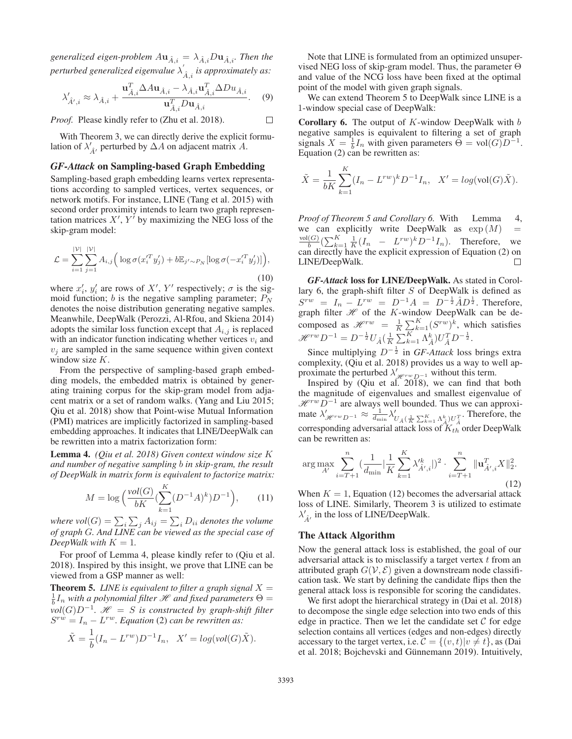*generalized eigen-problem*  $A\mathbf{u}_{\hat{A},i} = \lambda_{\hat{A},i}D\mathbf{u}_{\hat{A},i}$ . Then the perturbed generalized eigenvalue  $\lambda^{'}_{\hat{A},i}$  is approximately as:

$$
\lambda'_{\hat{A'},i} \approx \lambda_{\hat{A},i} + \frac{\mathbf{u}_{\hat{A},i}^T \Delta A \mathbf{u}_{\hat{A},i} - \lambda_{\hat{A},i} \mathbf{u}_{\hat{A},i}^T \Delta D u_{\hat{A},i}}{\mathbf{u}_{\hat{A},i}^T D \mathbf{u}_{\hat{A},i}}.
$$
 (9)

 $\Box$ 

*Proof.* Please kindly refer to (Zhu et al. 2018).

With Theorem 3, we can directly derive the explicit formulation of  $\lambda'_{\hat{A'}}$  perturbed by  $\Delta A$  on adjacent matrix A.

## *GF-Attack* on Sampling-based Graph Embedding

Sampling-based graph embedding learns vertex representations according to sampled vertices, vertex sequences, or network motifs. For instance, LINE (Tang et al. 2015) with second order proximity intends to learn two graph representation matrices  $X'$ ,  $Y'$  by maximizing the NEG loss of the skip-gram model:

$$
\mathcal{L} = \sum_{i=1}^{|\mathcal{V}|} \sum_{j=1}^{|\mathcal{V}|} A_{i,j} \Big( \log \sigma(x_i'^T y_j') + b \mathbb{E}_{j' \sim P_N} [\log \sigma(-x_i'^T y_j')] \Big),\tag{10}
$$

where  $x_i'$ ,  $y_i'$  are rows of X', Y' respectively;  $\sigma$  is the sigmoid function; b is the negative sampling parameter;  $P_N$ denotes the noise distribution generating negative samples. Meanwhile, DeepWalk (Perozzi, Al-Rfou, and Skiena 2014) adopts the similar loss function except that  $A_{i,j}$  is replaced with an indicator function indicating whether vertices  $v_i$  and  $v_i$  are sampled in the same sequence within given context window size  $K$ .

From the perspective of sampling-based graph embedding models, the embedded matrix is obtained by generating training corpus for the skip-gram model from adjacent matrix or a set of random walks. (Yang and Liu 2015; Qiu et al. 2018) show that Point-wise Mutual Information (PMI) matrices are implicitly factorized in sampling-based embedding approaches. It indicates that LINE/DeepWalk can be rewritten into a matrix factorization form:

Lemma 4. *(Qiu et al. 2018) Given context window size* K *and number of negative sampling* b *in skip-gram, the result of DeepWalk in matrix form is equivalent to factorize matrix:*

$$
M = \log \left( \frac{vol(G)}{bK} \left( \sum_{k=1}^{K} (D^{-1}A)^k \right) D^{-1} \right), \tag{11}
$$

where  $vol(G) = \sum_i \sum_j A_{ij} = \sum_i D_{ii}$  denotes the volume<br>of graph *C* And *I* INE can be viewed as the special case of *of graph* G*. And LINE can be viewed as the special case of DeepWalk with*  $K = 1$ .

For proof of Lemma 4, please kindly refer to (Qiu et al. 2018). Inspired by this insight, we prove that LINE can be viewed from a GSP manner as well:

**Theorem 5.** *LINE is equivalent to filter a graph signal*  $X =$  $\frac{1}{b}I_n$  with a polynomial filter  $\mathcal H$  and fixed parameters  $\Theta =$  $vol(G)D^{-1}$ .  $\mathscr{H} = S$  *is constructed by graph-shift filter*  $S^{rw} = I_ - - L^{rw}$  *Equation (2) can be rewritten as:*  $S^{rw} = I_n - L^{rw}$ . Equation (2) can be rewritten as:

$$
\tilde{X} = \frac{1}{b}(I_n - L^{rw})D^{-1}I_n, \quad X' = log(vol(G)\tilde{X}).
$$

Note that LINE is formulated from an optimized unsupervised NEG loss of skip-gram model. Thus, the parameter Θ and value of the NCG loss have been fixed at the optimal point of the model with given graph signals.

We can extend Theorem 5 to DeepWalk since LINE is a 1-window special case of DeepWalk:

**Corollary 6.** The output of  $K$ -window DeepWalk with  $b$ negative samples is equivalent to filtering a set of graph signals  $X = \frac{1}{b}I_n$  with given parameters  $\Theta = \text{vol}(G)D^{-1}$ .<br>Fouation (2) can be rewritten as: Equation (2) can be rewritten as:

$$
\tilde{X} = \frac{1}{bK} \sum_{k=1}^{K} (I_n - L^{rw})^k D^{-1} I_n, \quad X' = \log(\text{vol}(G)\tilde{X}).
$$

*Proof of Theorem 5 and Corollary 6.* With Lemma 4, we can explicitly write DeepWalk as  $\exp(M)$  =  $\frac{\text{vol}(G)}{b} \left( \sum_{k=1}^{K} \frac{1}{K} \left( I_n - L^{rw} \right)^k D^{-1} I_n \right).$  Therefore, we<br>can directly have the explicit expression of Fouation (2) on  $\frac{b}{b} (\sum_{k=1}^n \overline{K}^{(1_n)} - L^n) D^{(1_n)}$ . Therefore, we<br>can directly have the explicit expression of Equation (2) on LINE/DeepWalk.  $\Box$ 

*GF-Attack* loss for LINE/DeepWalk. As stated in Corollary 6, the graph-shift filter  $S$  of DeepWalk is defined as  $S^{rw} = I_n - L^{rw} = D^{-1}A = D^{-\frac{1}{2}}AD^{\frac{1}{2}}$ . Therefore,<br>graph filter  $\mathcal{H}$  of the K-window DeepWalk can be degraph filter  $H$  of the K-window DeepWalk can be decomposed as  $\mathcal{H}^{rw} = \frac{1}{K} \sum_{k=1}^{K} (S^{rw})^k$ , which satisfies  $\mathscr{H}^{rw} D^{-1} = D^{-\frac{1}{2}} U_{\hat{A}} (\frac{1}{K} \sum_{k=1}^{K} \Lambda_{\hat{A}}^{k}) U_{\hat{A}}^{T} D^{-\frac{1}{2}}.$ 

Since multiplying  $D^{-\frac{1}{2}}$  in *GF-Attack* loss brings extra complexity, (Qiu et al. 2018) provides us a way to well approximate the perturbed  $\lambda'_{\mathscr{H}^{rw}D^{-1}}$  without this term.

Inspired by (Qiu et al. 2018), we can find that both the magnitude of eigenvalues and smallest eigenvalue of  $\mathcal{H}^{rw}D^{-1}$  are always well bounded. Thus we can approximate  $\lambda'_{\mathscr{H}^{rw}D^{-1}} \approx \frac{1}{d_{\min}} \lambda'_{U_{\hat{A}}(\frac{1}{K} \sum_{k=1}^{K} \Lambda_{\hat{A}}^k) U_{\hat{A}}^T}$ . Therefore, the corresponding adversarial attack loss of  $K_{th}$  order DeepWalk can be rewritten as:

$$
\arg \max_{A'} \sum_{i=T+1}^{n} \left(\frac{1}{d_{\min}} \left| \frac{1}{K} \sum_{k=1}^{K} \lambda'^{k}_{\hat{A'},i} \right| \right)^2 \cdot \sum_{i=T+1}^{n} \|\mathbf{u}^T_{\hat{A'},i} X\|_2^2.
$$
\n(12)

When  $K = 1$ , Equation (12) becomes the adversarial attack loss of LINE. Similarly, Theorem 3 is utilized to estimate  $\lambda'_{\hat{A'}}$  in the loss of LINE/DeepWalk.

#### The Attack Algorithm

Now the general attack loss is established, the goal of our adversarial attack is to misclassify a target vertex  $t$  from an attributed graph  $G(V, \mathcal{E})$  given a downstream node classification task. We start by defining the candidate flips then the general attack loss is responsible for scoring the candidates.

We first adopt the hierarchical strategy in (Dai et al. 2018) to decompose the single edge selection into two ends of this edge in practice. Then we let the candidate set  $C$  for edge selection contains all vertices (edges and non-edges) directly accessary to the target vertex, i.e.  $\mathcal{C} = \{(v, t)|v \neq t\}$ , as (Dai et al. 2018; Bojchevski and Günnemann 2019). Intuitively,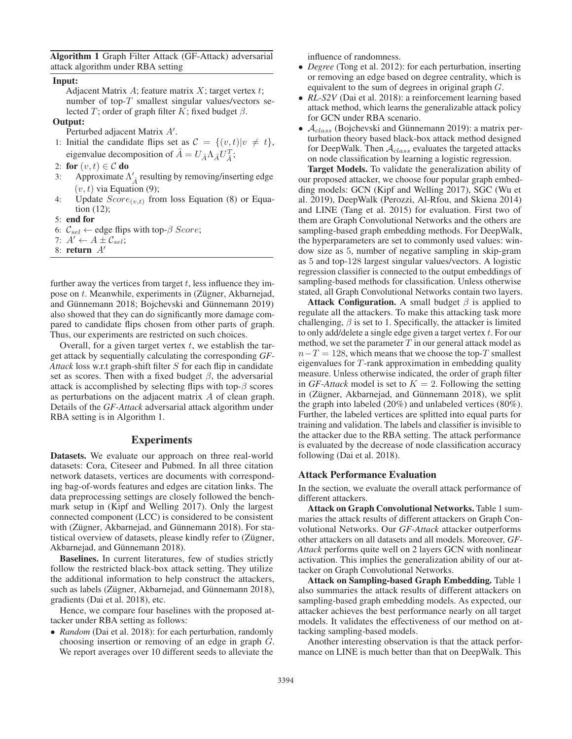Algorithm 1 Graph Filter Attack (GF-Attack) adversarial attack algorithm under RBA setting

#### Input:

Adjacent Matrix  $A$ ; feature matrix  $X$ ; target vertex  $t$ ; number of top-T smallest singular values/vectors selected T; order of graph filter K; fixed budget  $\beta$ .

Output:

Perturbed adjacent Matrix  $A'$ .

- 1: Initial the candidate flips set as  $C = \{(v, t)|v \neq t\},\$ eigenvalue decomposition of  $\hat{A} = U_{\hat{A}} \Lambda_{\hat{A}} U_{\hat{A}}^T;$
- 2: for  $(v, t) \in C$  do<br>3: Approximate  $\Lambda$
- 3: Approximate  $\Lambda_A^j$  resulting by removing/inserting edge  $(v, t)$  via Equation (9);
- 4: Update  $Score_{(v,t)}$  from loss Equation (8) or Equation (12);
- 5: end for

6:  $\mathcal{C}_{sel} \leftarrow$  edge flips with top- $\beta$  Score;

- 7:  $A' \leftarrow A \pm \mathcal{C}_{sel};$
- 8: return  $A'$

further away the vertices from target  $t$ , less influence they impose on  $t$ . Meanwhile, experiments in (Zügner, Akbarnejad, and Günnemann 2018; Bojchevski and Günnemann 2019) also showed that they can do significantly more damage compared to candidate flips chosen from other parts of graph. Thus, our experiments are restricted on such choices.

Overall, for a given target vertex  $t$ , we establish the target attack by sequentially calculating the corresponding *GF-Attack* loss w.r.t graph-shift filter S for each flip in candidate set as scores. Then with a fixed budget  $\beta$ , the adversarial attack is accomplished by selecting flips with top- $\beta$  scores as perturbations on the adjacent matrix A of clean graph. Details of the *GF-Attack* adversarial attack algorithm under RBA setting is in Algorithm 1.

## Experiments

Datasets. We evaluate our approach on three real-world datasets: Cora, Citeseer and Pubmed. In all three citation network datasets, vertices are documents with corresponding bag-of-words features and edges are citation links. The data preprocessing settings are closely followed the benchmark setup in (Kipf and Welling 2017). Only the largest connected component (LCC) is considered to be consistent with (Zügner, Akbarnejad, and Günnemann 2018). For statistical overview of datasets, please kindly refer to (Zügner, Akbarnejad, and Günnemann 2018).

Baselines. In current literatures, few of studies strictly follow the restricted black-box attack setting. They utilize the additional information to help construct the attackers, such as labels (Zügner, Akbarnejad, and Günnemann 2018), gradients (Dai et al. 2018), etc.

Hence, we compare four baselines with the proposed attacker under RBA setting as follows:

• *Random* (Dai et al. 2018): for each perturbation, randomly choosing insertion or removing of an edge in graph G. We report averages over 10 different seeds to alleviate the influence of randomness.

- *Degree* (Tong et al. 2012): for each perturbation, inserting or removing an edge based on degree centrality, which is equivalent to the sum of degrees in original graph G.
- *RL-S2V* (Dai et al. 2018): a reinforcement learning based attack method, which learns the generalizable attack policy for GCN under RBA scenario.
- $A_{class}$  (Bojchevski and Günnemann 2019): a matrix perturbation theory based black-box attack method designed for DeepWalk. Then  $A_{class}$  evaluates the targeted attacks on node classification by learning a logistic regression.

Target Models. To validate the generalization ability of our proposed attacker, we choose four popular graph embedding models: GCN (Kipf and Welling 2017), SGC (Wu et al. 2019), DeepWalk (Perozzi, Al-Rfou, and Skiena 2014) and LINE (Tang et al. 2015) for evaluation. First two of them are Graph Convolutional Networks and the others are sampling-based graph embedding methods. For DeepWalk, the hyperparameters are set to commonly used values: window size as 5, number of negative sampling in skip-gram as 5 and top-128 largest singular values/vectors. A logistic regression classifier is connected to the output embeddings of sampling-based methods for classification. Unless otherwise stated, all Graph Convolutional Networks contain two layers.

**Attack Configuration.** A small budget  $\beta$  is applied to regulate all the attackers. To make this attacking task more challenging,  $\beta$  is set to 1. Specifically, the attacker is limited to only add/delete a single edge given a target vertex  $t$ . For our method, we set the parameter  $T$  in our general attack model as  $n-T = 128$ , which means that we choose the top-T smallest eigenvalues for T-rank approximation in embedding quality measure. Unless otherwise indicated, the order of graph filter in *GF-Attack* model is set to  $K = 2$ . Following the setting in (Zügner, Akbarnejad, and Günnemann 2018), we split the graph into labeled (20%) and unlabeled vertices (80%). Further, the labeled vertices are splitted into equal parts for training and validation. The labels and classifier is invisible to the attacker due to the RBA setting. The attack performance is evaluated by the decrease of node classification accuracy following (Dai et al. 2018).

### Attack Performance Evaluation

In the section, we evaluate the overall attack performance of different attackers.

Attack on Graph Convolutional Networks. Table 1 summaries the attack results of different attackers on Graph Convolutional Networks. Our *GF-Attack* attacker outperforms other attackers on all datasets and all models. Moreover, *GF-Attack* performs quite well on 2 layers GCN with nonlinear activation. This implies the generalization ability of our attacker on Graph Convolutional Networks.

Attack on Sampling-based Graph Embedding. Table 1 also summaries the attack results of different attackers on sampling-based graph embedding models. As expected, our attacker achieves the best performance nearly on all target models. It validates the effectiveness of our method on attacking sampling-based models.

Another interesting observation is that the attack performance on LINE is much better than that on DeepWalk. This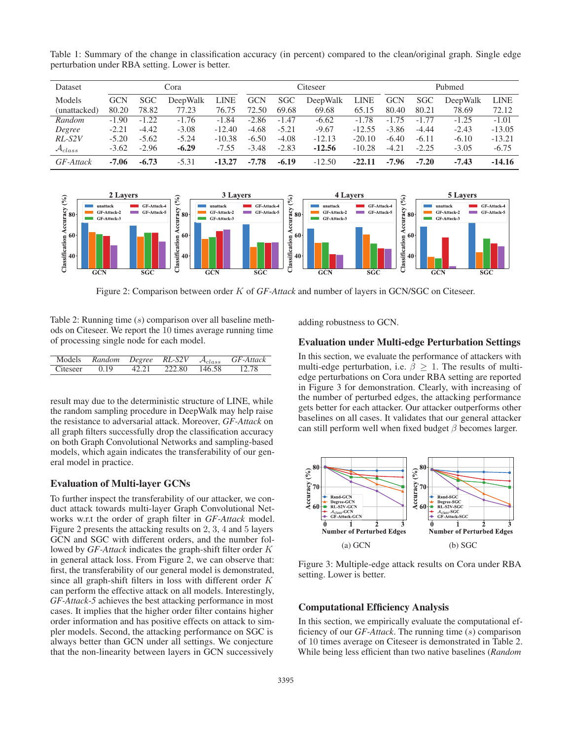| Dataset               | Cora       |         |          |             | Citeseer   |            |          |             | Pubmed     |         |          |             |
|-----------------------|------------|---------|----------|-------------|------------|------------|----------|-------------|------------|---------|----------|-------------|
| Models                | <b>GCN</b> | SGC     | DeepWalk | <b>LINE</b> | <b>GCN</b> | <b>SGC</b> | DeepWalk | <b>LINE</b> | <b>GCN</b> | SGC     | DeepWalk | <b>LINE</b> |
| (unattacked)          | 80.20      | 78.82   | 77.23    | 76.75       | 72.50      | 69.68      | 69.68    | 65.15       | 80.40      | 80.21   | 78.69    | 72.12       |
| Random                | $-1.90$    | $-1.22$ | $-1.76$  | $-1.84$     | $-2.86$    | $-1.47$    | $-6.62$  | $-1.78$     | $-1.75$    | $-1.77$ | $-1.25$  | $-1.01$     |
| Degree                | $-2.21$    | $-4.42$ | $-3.08$  | $-12.40$    | $-4.68$    | $-5.21$    | $-9.67$  | $-12.55$    | $-3.86$    | $-4.44$ | $-2.43$  | $-13.05$    |
| $RL-S2V$              | $-5.20$    | $-5.62$ | $-5.24$  | $-10.38$    | $-6.50$    | $-4.08$    | $-12.13$ | $-20.10$    | $-6.40$    | $-6.11$ | $-6.10$  | $-13.21$    |
| $\mathcal{A}_{class}$ | $-3.62$    | $-2.96$ | $-6.29$  | $-7.55$     | $-3.48$    | $-2.83$    | $-12.56$ | $-10.28$    | $-4.21$    | $-2.25$ | $-3.05$  | $-6.75$     |
| GF-Attack             | $-7.06$    | $-6.73$ | $-5.31$  | $-13.27$    | $-7.78$    | $-6.19$    | $-12.50$ | $-22.11$    | -7.96      | $-7.20$ | $-7.43$  | $-14.16$    |

Table 1: Summary of the change in classification accuracy (in percent) compared to the clean/original graph. Single edge perturbation under RBA setting. Lower is better.



Figure 2: Comparison between order K of *GF-Attack* and number of layers in GCN/SGC on Citeseer.

Table 2: Running time (s) comparison over all baseline methods on Citeseer. We report the 10 times average running time of processing single node for each model.

|          | Models Random Degree RL-S2V |       |        | $\mathcal{A}_{class}$ | GF-Attack |
|----------|-----------------------------|-------|--------|-----------------------|-----------|
| Citeseer | 0.19                        | 42.21 | 222.80 | 146.58                | 12.78     |

result may due to the deterministic structure of LINE, while the random sampling procedure in DeepWalk may help raise the resistance to adversarial attack. Moreover, *GF-Attack* on all graph filters successfully drop the classification accuracy on both Graph Convolutional Networks and sampling-based models, which again indicates the transferability of our general model in practice.

## Evaluation of Multi-layer GCNs

To further inspect the transferability of our attacker, we conduct attack towards multi-layer Graph Convolutional Networks w.r.t the order of graph filter in *GF-Attack* model. Figure 2 presents the attacking results on 2, 3, 4 and 5 layers GCN and SGC with different orders, and the number followed by *GF-Attack* indicates the graph-shift filter order K in general attack loss. From Figure 2, we can observe that: first, the transferability of our general model is demonstrated, since all graph-shift filters in loss with different order K can perform the effective attack on all models. Interestingly, *GF-Attack-5* achieves the best attacking performance in most cases. It implies that the higher order filter contains higher order information and has positive effects on attack to simpler models. Second, the attacking performance on SGC is always better than GCN under all settings. We conjecture that the non-linearity between layers in GCN successively adding robustness to GCN.

### Evaluation under Multi-edge Perturbation Settings

In this section, we evaluate the performance of attackers with multi-edge perturbation, i.e.  $\beta > 1$ . The results of multiedge perturbations on Cora under RBA setting are reported in Figure 3 for demonstration. Clearly, with increasing of the number of perturbed edges, the attacking performance gets better for each attacker. Our attacker outperforms other baselines on all cases. It validates that our general attacker can still perform well when fixed budget  $\beta$  becomes larger.



Figure 3: Multiple-edge attack results on Cora under RBA setting. Lower is better.

## Computational Efficiency Analysis

In this section, we empirically evaluate the computational efficiency of our *GF-Attack*. The running time (s) comparison of 10 times average on Citeseer is demonstrated in Table 2. While being less efficient than two native baselines (*Random*